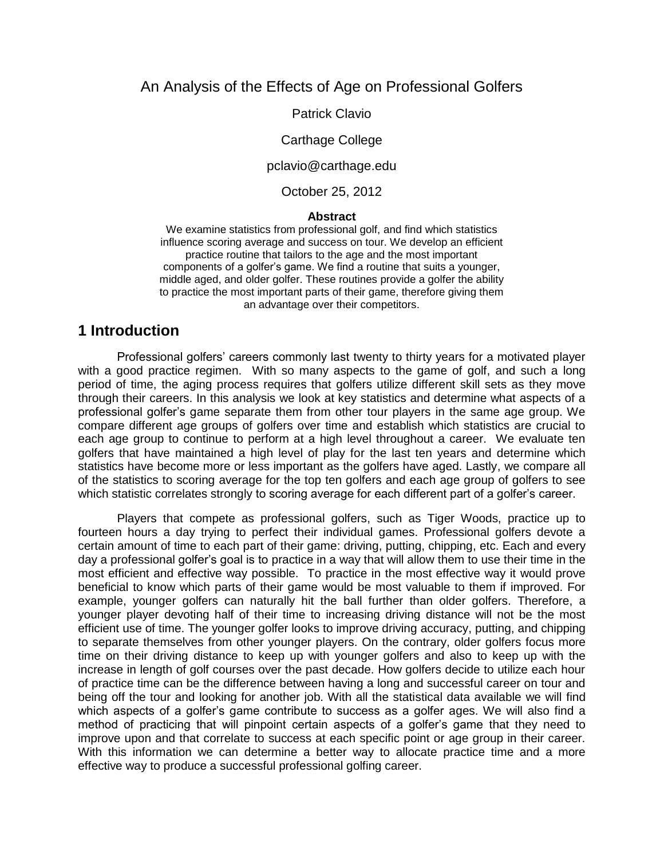## An Analysis of the Effects of Age on Professional Golfers

Patrick Clavio

#### Carthage College

pclavio@carthage.edu

October 25, 2012

#### **Abstract**

We examine statistics from professional golf, and find which statistics influence scoring average and success on tour. We develop an efficient practice routine that tailors to the age and the most important components of a golfer's game. We find a routine that suits a younger, middle aged, and older golfer. These routines provide a golfer the ability to practice the most important parts of their game, therefore giving them an advantage over their competitors.

### **1 Introduction**

Professional golfers' careers commonly last twenty to thirty years for a motivated player with a good practice regimen. With so many aspects to the game of golf, and such a long period of time, the aging process requires that golfers utilize different skill sets as they move through their careers. In this analysis we look at key statistics and determine what aspects of a professional golfer's game separate them from other tour players in the same age group. We compare different age groups of golfers over time and establish which statistics are crucial to each age group to continue to perform at a high level throughout a career. We evaluate ten golfers that have maintained a high level of play for the last ten years and determine which statistics have become more or less important as the golfers have aged. Lastly, we compare all of the statistics to scoring average for the top ten golfers and each age group of golfers to see which statistic correlates strongly to scoring average for each different part of a golfer's career.

Players that compete as professional golfers, such as Tiger Woods, practice up to fourteen hours a day trying to perfect their individual games. Professional golfers devote a certain amount of time to each part of their game: driving, putting, chipping, etc. Each and every day a professional golfer's goal is to practice in a way that will allow them to use their time in the most efficient and effective way possible. To practice in the most effective way it would prove beneficial to know which parts of their game would be most valuable to them if improved. For example, younger golfers can naturally hit the ball further than older golfers. Therefore, a younger player devoting half of their time to increasing driving distance will not be the most efficient use of time. The younger golfer looks to improve driving accuracy, putting, and chipping to separate themselves from other younger players. On the contrary, older golfers focus more time on their driving distance to keep up with younger golfers and also to keep up with the increase in length of golf courses over the past decade. How golfers decide to utilize each hour of practice time can be the difference between having a long and successful career on tour and being off the tour and looking for another job. With all the statistical data available we will find which aspects of a golfer's game contribute to success as a golfer ages. We will also find a method of practicing that will pinpoint certain aspects of a golfer's game that they need to improve upon and that correlate to success at each specific point or age group in their career. With this information we can determine a better way to allocate practice time and a more effective way to produce a successful professional golfing career.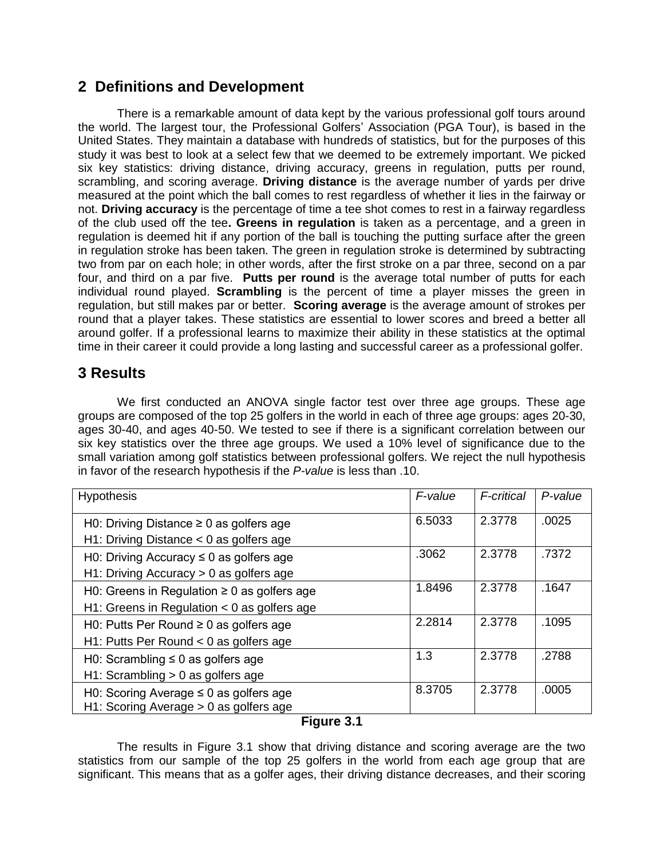# **2 Definitions and Development**

There is a remarkable amount of data kept by the various professional golf tours around the world. The largest tour, the Professional Golfers' Association (PGA Tour), is based in the United States. They maintain a database with hundreds of statistics, but for the purposes of this study it was best to look at a select few that we deemed to be extremely important. We picked six key statistics: driving distance, driving accuracy, greens in regulation, putts per round, scrambling, and scoring average. **Driving distance** is the average number of yards per drive measured at the point which the ball comes to rest regardless of whether it lies in the fairway or not. **Driving accuracy** is the percentage of time a tee shot comes to rest in a fairway regardless of the club used off the tee**. Greens in regulation** is taken as a percentage, and a green in regulation is deemed hit if any portion of the ball is touching the putting surface after the green in regulation stroke has been taken. The green in regulation stroke is determined by subtracting two from par on each hole; in other words, after the first stroke on a par three, second on a par four, and third on a par five. **Putts per round** is the average total number of putts for each individual round played. **Scrambling** is the percent of time a player misses the green in regulation, but still makes par or better. **Scoring average** is the average amount of strokes per round that a player takes. These statistics are essential to lower scores and breed a better all around golfer. If a professional learns to maximize their ability in these statistics at the optimal time in their career it could provide a long lasting and successful career as a professional golfer.

# **3 Results**

We first conducted an ANOVA single factor test over three age groups. These age groups are composed of the top 25 golfers in the world in each of three age groups: ages 20-30, ages 30-40, and ages 40-50. We tested to see if there is a significant correlation between our six key statistics over the three age groups. We used a 10% level of significance due to the small variation among golf statistics between professional golfers. We reject the null hypothesis in favor of the research hypothesis if the *P-value* is less than .10.

| <b>Hypothesis</b>                                | F-value | F-critical | P-value |
|--------------------------------------------------|---------|------------|---------|
| H0: Driving Distance $\geq 0$ as golfers age     | 6.5033  | 2.3778     | .0025   |
| H1: Driving Distance $<$ 0 as golfers age        |         |            |         |
| H0: Driving Accuracy $\leq 0$ as golfers age     | .3062   | 2.3778     | .7372   |
| $H1:$ Driving Accuracy $> 0$ as golfers age      |         |            |         |
| H0: Greens in Regulation $\geq 0$ as golfers age | 1.8496  | 2.3778     | .1647   |
| H1: Greens in Regulation $<$ 0 as golfers age    |         |            |         |
| H0: Putts Per Round $\geq$ 0 as golfers age      | 2.2814  | 2.3778     | .1095   |
| H1: Putts Per Round $<$ 0 as golfers age         |         |            |         |
| H0: Scrambling $\leq$ 0 as golfers age           | 1.3     | 2.3778     | .2788   |
| H1: Scrambling $> 0$ as golfers age              |         |            |         |
| H0: Scoring Average $\leq$ 0 as golfers age      | 8.3705  | 2.3778     | .0005   |
| H1: Scoring Average > 0 as golfers age           |         |            |         |

### **Figure 3.1**

The results in Figure 3.1 show that driving distance and scoring average are the two statistics from our sample of the top 25 golfers in the world from each age group that are significant. This means that as a golfer ages, their driving distance decreases, and their scoring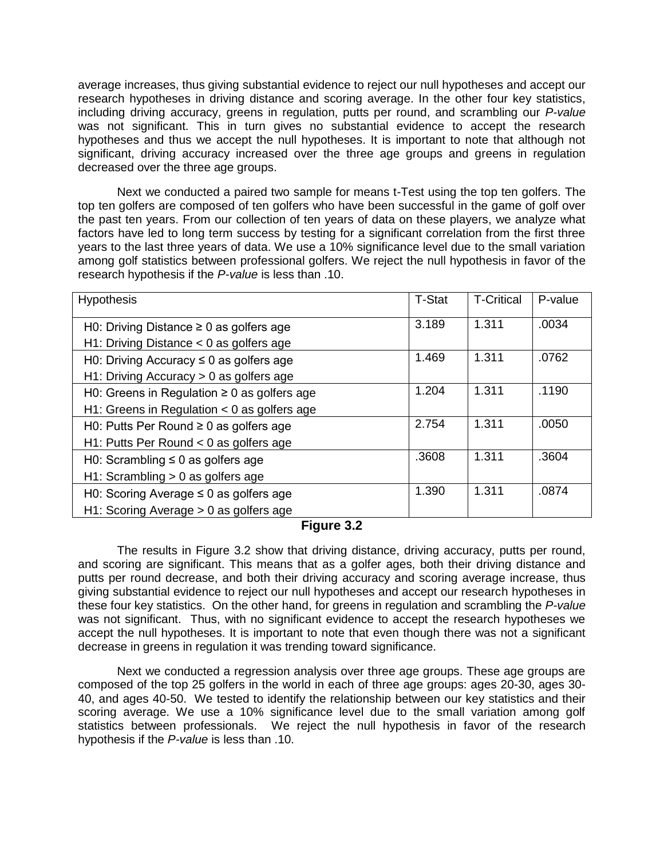average increases, thus giving substantial evidence to reject our null hypotheses and accept our research hypotheses in driving distance and scoring average. In the other four key statistics, including driving accuracy, greens in regulation, putts per round, and scrambling our *P-value* was not significant. This in turn gives no substantial evidence to accept the research hypotheses and thus we accept the null hypotheses. It is important to note that although not significant, driving accuracy increased over the three age groups and greens in regulation decreased over the three age groups.

Next we conducted a paired two sample for means t-Test using the top ten golfers. The top ten golfers are composed of ten golfers who have been successful in the game of golf over the past ten years. From our collection of ten years of data on these players, we analyze what factors have led to long term success by testing for a significant correlation from the first three years to the last three years of data. We use a 10% significance level due to the small variation among golf statistics between professional golfers. We reject the null hypothesis in favor of the research hypothesis if the *P-value* is less than .10.

| <b>Hypothesis</b>                                | <b>T-Stat</b> | <b>T-Critical</b> | P-value |
|--------------------------------------------------|---------------|-------------------|---------|
| H0: Driving Distance $\geq 0$ as golfers age     | 3.189         | 1.311             | .0034   |
| H1: Driving Distance $<$ 0 as golfers age        |               |                   |         |
| H0: Driving Accuracy $\leq$ 0 as golfers age     | 1.469         | 1.311             | .0762   |
| $H1:$ Driving Accuracy $> 0$ as golfers age      |               |                   |         |
| H0: Greens in Regulation $\geq 0$ as golfers age | 1.204         | 1.311             | .1190   |
| H1: Greens in Regulation $<$ 0 as golfers age    |               |                   |         |
| H0: Putts Per Round $\geq 0$ as golfers age      | 2.754         | 1.311             | .0050   |
| H1: Putts Per Round $<$ 0 as golfers age         |               |                   |         |
| H0: Scrambling $\leq 0$ as golfers age           | .3608         | 1.311             | .3604   |
| $H1: Scrambling > 0$ as golfers age              |               |                   |         |
| H0: Scoring Average $\leq$ 0 as golfers age      | 1.390         | 1.311             | .0874   |
| $H1:$ Scoring Average $> 0$ as golfers age       |               |                   |         |

### **Figure 3.2**

The results in Figure 3.2 show that driving distance, driving accuracy, putts per round, and scoring are significant. This means that as a golfer ages, both their driving distance and putts per round decrease, and both their driving accuracy and scoring average increase, thus giving substantial evidence to reject our null hypotheses and accept our research hypotheses in these four key statistics. On the other hand, for greens in regulation and scrambling the *P-value* was not significant. Thus, with no significant evidence to accept the research hypotheses we accept the null hypotheses. It is important to note that even though there was not a significant decrease in greens in regulation it was trending toward significance.

Next we conducted a regression analysis over three age groups. These age groups are composed of the top 25 golfers in the world in each of three age groups: ages 20-30, ages 30- 40, and ages 40-50. We tested to identify the relationship between our key statistics and their scoring average. We use a 10% significance level due to the small variation among golf statistics between professionals. We reject the null hypothesis in favor of the research hypothesis if the *P-value* is less than .10.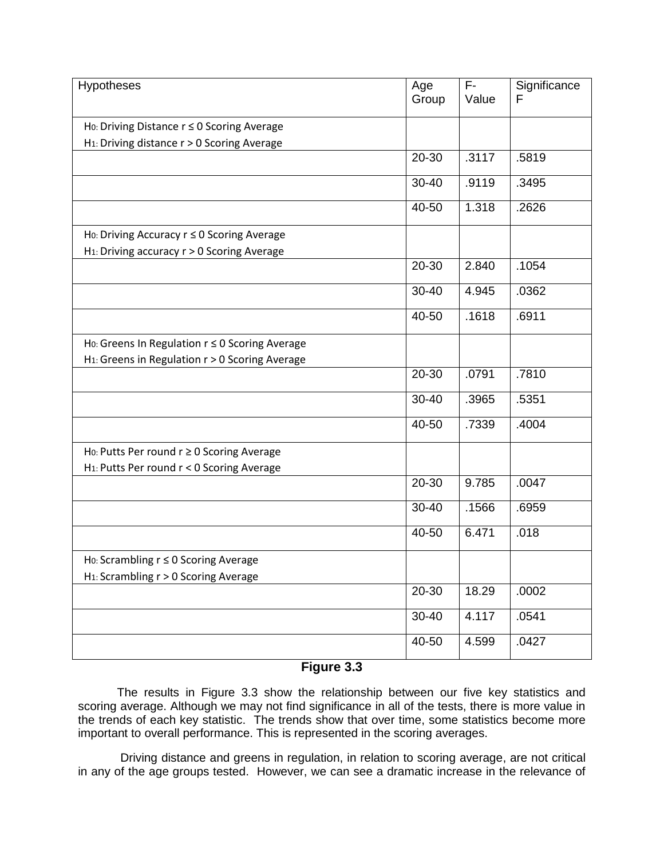| Hypotheses                                              | Age<br>Group | $\overline{F}$<br>Value | Significance<br>F |
|---------------------------------------------------------|--------------|-------------------------|-------------------|
|                                                         |              |                         |                   |
| Ho: Driving Distance r ≤ 0 Scoring Average              |              |                         |                   |
| H <sub>1</sub> : Driving distance r > 0 Scoring Average |              |                         |                   |
|                                                         | 20-30        | .3117                   | .5819             |
|                                                         | 30-40        | .9119                   | .3495             |
|                                                         | 40-50        | 1.318                   | .2626             |
| Ho: Driving Accuracy r ≤ 0 Scoring Average              |              |                         |                   |
| H <sub>1</sub> : Driving accuracy r > 0 Scoring Average |              |                         |                   |
|                                                         | 20-30        | 2.840                   | .1054             |
|                                                         | $30 - 40$    | 4.945                   | .0362             |
|                                                         | 40-50        | .1618                   | .6911             |
| Ho: Greens In Regulation $r \leq 0$ Scoring Average     |              |                         |                   |
| H1: Greens in Regulation r > 0 Scoring Average          |              |                         |                   |
|                                                         | $20 - 30$    | .0791                   | .7810             |
|                                                         | 30-40        | .3965                   | .5351             |
|                                                         | 40-50        | .7339                   | .4004             |
| Ho: Putts Per round $r \geq 0$ Scoring Average          |              |                         |                   |
| H <sub>1</sub> : Putts Per round r < 0 Scoring Average  |              |                         |                   |
|                                                         | 20-30        | 9.785                   | .0047             |
|                                                         | 30-40        | .1566                   | .6959             |
|                                                         | 40-50        | 6.471                   | .018              |
| Ho: Scrambling $r \leq 0$ Scoring Average               |              |                         |                   |
| H <sub>1</sub> : Scrambling r > 0 Scoring Average       |              |                         |                   |
|                                                         | 20-30        | 18.29                   | .0002             |
|                                                         | 30-40        | 4.117                   | .0541             |
|                                                         | 40-50        | 4.599                   | .0427             |

### **Figure 3.3**

The results in Figure 3.3 show the relationship between our five key statistics and scoring average. Although we may not find significance in all of the tests, there is more value in the trends of each key statistic. The trends show that over time, some statistics become more important to overall performance. This is represented in the scoring averages.

Driving distance and greens in regulation, in relation to scoring average, are not critical in any of the age groups tested. However, we can see a dramatic increase in the relevance of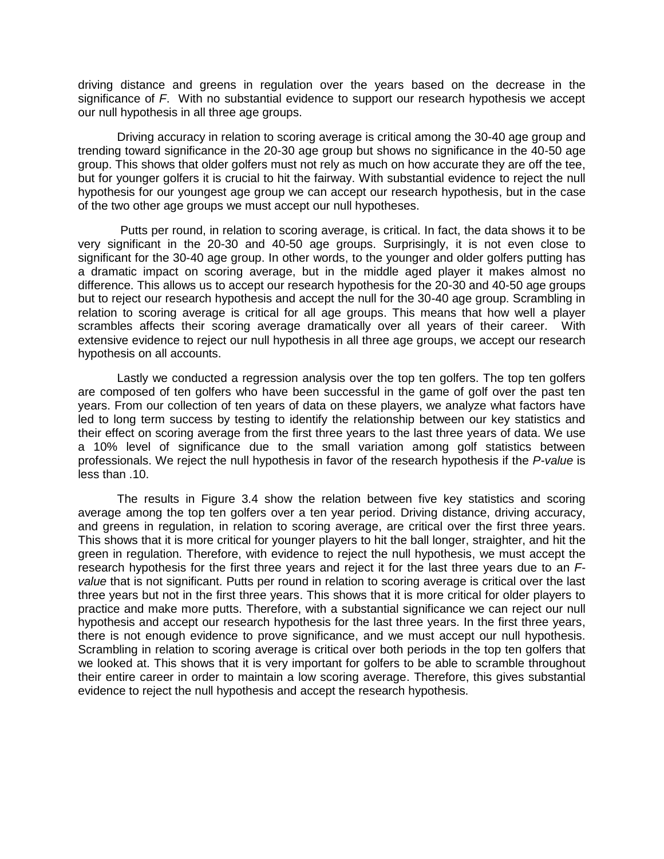driving distance and greens in regulation over the years based on the decrease in the significance of *F*. With no substantial evidence to support our research hypothesis we accept our null hypothesis in all three age groups.

Driving accuracy in relation to scoring average is critical among the 30-40 age group and trending toward significance in the 20-30 age group but shows no significance in the 40-50 age group. This shows that older golfers must not rely as much on how accurate they are off the tee, but for younger golfers it is crucial to hit the fairway. With substantial evidence to reject the null hypothesis for our youngest age group we can accept our research hypothesis, but in the case of the two other age groups we must accept our null hypotheses.

Putts per round, in relation to scoring average, is critical. In fact, the data shows it to be very significant in the 20-30 and 40-50 age groups. Surprisingly, it is not even close to significant for the 30-40 age group. In other words, to the younger and older golfers putting has a dramatic impact on scoring average, but in the middle aged player it makes almost no difference. This allows us to accept our research hypothesis for the 20-30 and 40-50 age groups but to reject our research hypothesis and accept the null for the 30-40 age group. Scrambling in relation to scoring average is critical for all age groups. This means that how well a player scrambles affects their scoring average dramatically over all years of their career. With extensive evidence to reject our null hypothesis in all three age groups, we accept our research hypothesis on all accounts.

Lastly we conducted a regression analysis over the top ten golfers. The top ten golfers are composed of ten golfers who have been successful in the game of golf over the past ten years. From our collection of ten years of data on these players, we analyze what factors have led to long term success by testing to identify the relationship between our key statistics and their effect on scoring average from the first three years to the last three years of data. We use a 10% level of significance due to the small variation among golf statistics between professionals. We reject the null hypothesis in favor of the research hypothesis if the *P-value* is less than .10.

The results in Figure 3.4 show the relation between five key statistics and scoring average among the top ten golfers over a ten year period. Driving distance, driving accuracy, and greens in regulation, in relation to scoring average, are critical over the first three years. This shows that it is more critical for younger players to hit the ball longer, straighter, and hit the green in regulation. Therefore, with evidence to reject the null hypothesis, we must accept the research hypothesis for the first three years and reject it for the last three years due to an *Fvalue* that is not significant. Putts per round in relation to scoring average is critical over the last three years but not in the first three years. This shows that it is more critical for older players to practice and make more putts. Therefore, with a substantial significance we can reject our null hypothesis and accept our research hypothesis for the last three years. In the first three years, there is not enough evidence to prove significance, and we must accept our null hypothesis. Scrambling in relation to scoring average is critical over both periods in the top ten golfers that we looked at. This shows that it is very important for golfers to be able to scramble throughout their entire career in order to maintain a low scoring average. Therefore, this gives substantial evidence to reject the null hypothesis and accept the research hypothesis.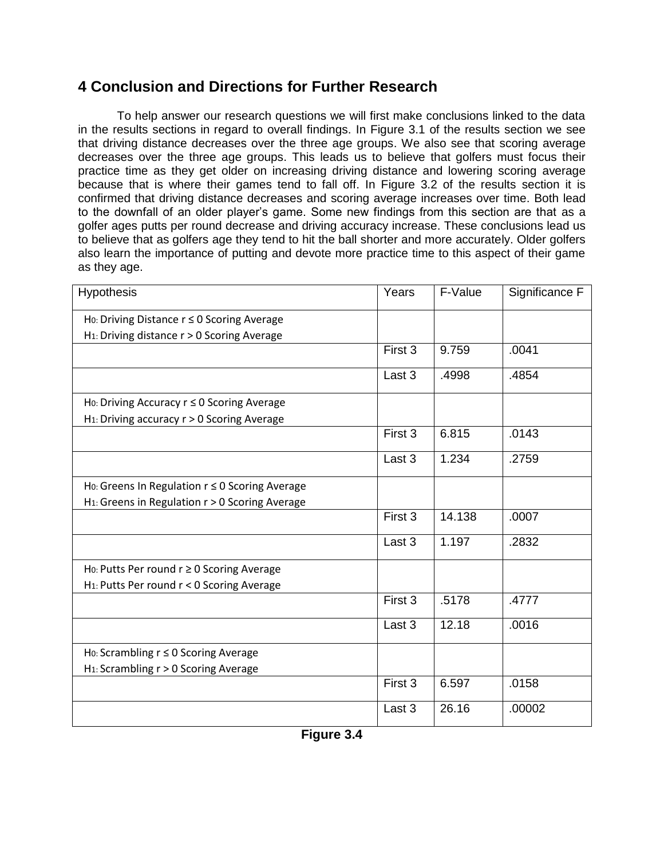# **4 Conclusion and Directions for Further Research**

To help answer our research questions we will first make conclusions linked to the data in the results sections in regard to overall findings. In Figure 3.1 of the results section we see that driving distance decreases over the three age groups. We also see that scoring average decreases over the three age groups. This leads us to believe that golfers must focus their practice time as they get older on increasing driving distance and lowering scoring average because that is where their games tend to fall off. In Figure 3.2 of the results section it is confirmed that driving distance decreases and scoring average increases over time. Both lead to the downfall of an older player's game. Some new findings from this section are that as a golfer ages putts per round decrease and driving accuracy increase. These conclusions lead us to believe that as golfers age they tend to hit the ball shorter and more accurately. Older golfers also learn the importance of putting and devote more practice time to this aspect of their game as they age.

| Hypothesis                                                    | Years   | F-Value | Significance F |
|---------------------------------------------------------------|---------|---------|----------------|
| Ho: Driving Distance $r \leq 0$ Scoring Average               |         |         |                |
| H <sub>1</sub> : Driving distance r > 0 Scoring Average       |         |         |                |
|                                                               | First 3 | 9.759   | .0041          |
|                                                               | Last 3  | .4998   | .4854          |
| Ho: Driving Accuracy $r \leq 0$ Scoring Average               |         |         |                |
| H <sub>1</sub> : Driving accuracy r > 0 Scoring Average       |         |         |                |
|                                                               | First 3 | 6.815   | .0143          |
|                                                               | Last 3  | 1.234   | .2759          |
| Ho: Greens In Regulation r ≤ 0 Scoring Average                |         |         |                |
| H <sub>1</sub> : Greens in Regulation $r > 0$ Scoring Average |         |         |                |
|                                                               | First 3 | 14.138  | .0007          |
|                                                               | Last 3  | 1.197   | .2832          |
| Ho: Putts Per round $r \geq 0$ Scoring Average                |         |         |                |
| H <sub>1</sub> : Putts Per round r < 0 Scoring Average        |         |         |                |
|                                                               | First 3 | .5178   | .4777          |
|                                                               | Last 3  | 12.18   | .0016          |
| Ho: Scrambling $r \leq 0$ Scoring Average                     |         |         |                |
| H <sub>1</sub> : Scrambling r > 0 Scoring Average             |         |         |                |
|                                                               | First 3 | 6.597   | .0158          |
|                                                               | Last 3  | 26.16   | .00002         |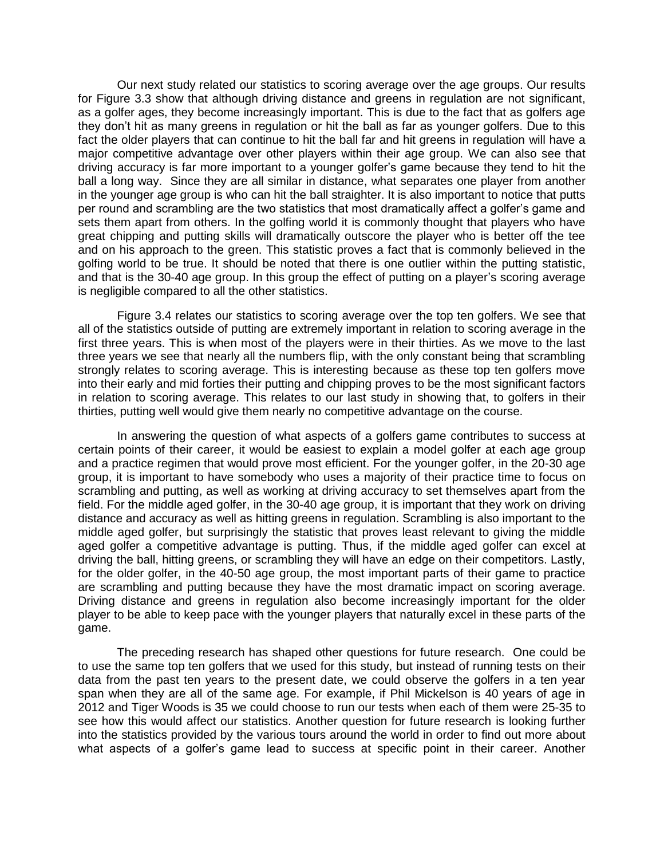Our next study related our statistics to scoring average over the age groups. Our results for Figure 3.3 show that although driving distance and greens in regulation are not significant, as a golfer ages, they become increasingly important. This is due to the fact that as golfers age they don't hit as many greens in regulation or hit the ball as far as younger golfers. Due to this fact the older players that can continue to hit the ball far and hit greens in regulation will have a major competitive advantage over other players within their age group. We can also see that driving accuracy is far more important to a younger golfer's game because they tend to hit the ball a long way. Since they are all similar in distance, what separates one player from another in the younger age group is who can hit the ball straighter. It is also important to notice that putts per round and scrambling are the two statistics that most dramatically affect a golfer's game and sets them apart from others. In the golfing world it is commonly thought that players who have great chipping and putting skills will dramatically outscore the player who is better off the tee and on his approach to the green. This statistic proves a fact that is commonly believed in the golfing world to be true. It should be noted that there is one outlier within the putting statistic, and that is the 30-40 age group. In this group the effect of putting on a player's scoring average is negligible compared to all the other statistics.

Figure 3.4 relates our statistics to scoring average over the top ten golfers. We see that all of the statistics outside of putting are extremely important in relation to scoring average in the first three years. This is when most of the players were in their thirties. As we move to the last three years we see that nearly all the numbers flip, with the only constant being that scrambling strongly relates to scoring average. This is interesting because as these top ten golfers move into their early and mid forties their putting and chipping proves to be the most significant factors in relation to scoring average. This relates to our last study in showing that, to golfers in their thirties, putting well would give them nearly no competitive advantage on the course.

In answering the question of what aspects of a golfers game contributes to success at certain points of their career, it would be easiest to explain a model golfer at each age group and a practice regimen that would prove most efficient. For the younger golfer, in the 20-30 age group, it is important to have somebody who uses a majority of their practice time to focus on scrambling and putting, as well as working at driving accuracy to set themselves apart from the field. For the middle aged golfer, in the 30-40 age group, it is important that they work on driving distance and accuracy as well as hitting greens in regulation. Scrambling is also important to the middle aged golfer, but surprisingly the statistic that proves least relevant to giving the middle aged golfer a competitive advantage is putting. Thus, if the middle aged golfer can excel at driving the ball, hitting greens, or scrambling they will have an edge on their competitors. Lastly, for the older golfer, in the 40-50 age group, the most important parts of their game to practice are scrambling and putting because they have the most dramatic impact on scoring average. Driving distance and greens in regulation also become increasingly important for the older player to be able to keep pace with the younger players that naturally excel in these parts of the game.

The preceding research has shaped other questions for future research. One could be to use the same top ten golfers that we used for this study, but instead of running tests on their data from the past ten years to the present date, we could observe the golfers in a ten year span when they are all of the same age. For example, if Phil Mickelson is 40 years of age in 2012 and Tiger Woods is 35 we could choose to run our tests when each of them were 25-35 to see how this would affect our statistics. Another question for future research is looking further into the statistics provided by the various tours around the world in order to find out more about what aspects of a golfer's game lead to success at specific point in their career. Another